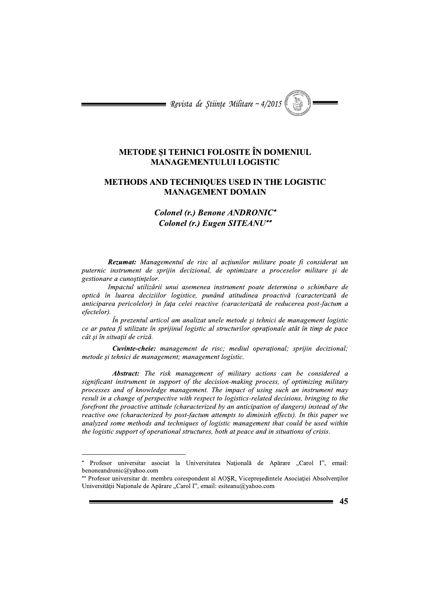$\blacksquare$  Revista de Stiințe Militare ~ 4/2015

## METODE SI TEHNICI FOLOSITE ÎN DOMENIUL **MANAGEMENTULUI LOGISTIC**

## METHODS AND TECHNIQUES USED IN THE LOGISTIC **MANAGEMENT DOMAIN**

Colonel (r.) Benone ANDRONIC\* Colonel (r.) Eugen SITEANU\*\*

Rezumat: Managementul de risc al actiunilor militare poate fi considerat un puternic instrument de sprijin decizional, de optimizare a proceselor militare și de gestionare a cunoștințelor.

Impactul utilizării unui asemenea instrument poate determina o schimbare de optică în luarea deciziilor logistice, punând atitudinea proactivă (caracterizată de anticiparea pericolelor) în fața celei reactive (caracterizată de reducerea post-factum a efectelor).

În prezentul articol am analizat unele metode și tehnici de management logistic ce ar putea fi utilizate în sprijinul logistic al structurilor oprationale atât în timp de pace cât și în situatii de criză.

Cuvinte-cheie: management de risc; mediul operational; sprijin decizional; metode și tehnici de management; management logistic.

Abstract: The risk management of military actions can be considered a significant instrument in support of the decision-making process, of optimizing military processes and of knowledge management. The impact of using such an instrument may result in a change of perspective with respect to logistics-related decisions, bringing to the forefront the proactive attitude (characterized by an anticipation of dangers) instead of the reactive one (characterized by post-factum attempts to diminish effects). In this paper we analyzed some methods and techniques of logistic management that could be used within the logistic support of operational structures, both at peace and in situations of crisis.

<sup>\*\*</sup> Profesor universitar dr. membru corespondent al AOSR, Vicepresedintele Asociației Absolvenților Universității Naționale de Apărare "Carol I", email: esiteanu@yahoo.com



Profesor universitar asociat la Universitatea Națională de Apărare "Carol I", email: benoneandronic@yahoo.com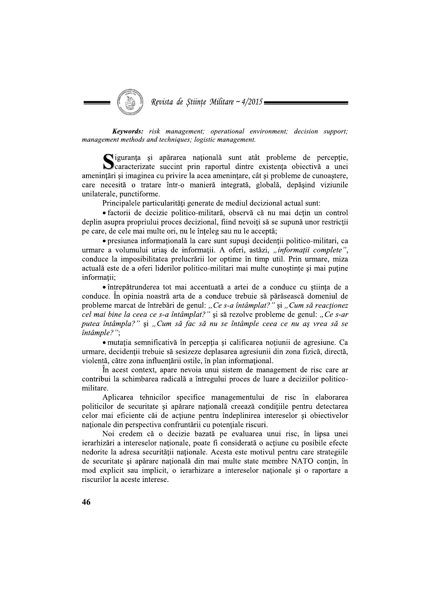

Keywords: risk management; operational environment; decision support; management methods and techniques; logistic management.

Siguranța și apărarea națională sunt atât probleme de percepție,<br>Scaracterizate succint prin raportul dintre existența obiectivă a unei amenințări și imaginea cu privire la acea amenințare, cât și probleme de cunoaștere, care necesită o tratare într-o manieră integrată, globală, depăsind viziunile unilaterale, punctiforme.

Principalele particularități generate de mediul decizional actual sunt:

• factorii de decizie politico-militară, observă că nu mai detin un control deplin asupra propriului proces decizional, fiind nevoiți să se supună unor restricții pe care, de cele mai multe ori, nu le înțeleg sau nu le acceptă;

· presiunea informațională la care sunt supuși decidenții politico-militari, ca urmare a volumului urias de informatii. A oferi, astăzi, "informatii complete", conduce la imposibilitatea prelucrării lor optime în timp util. Prin urmare, miza actuală este de a oferi liderilor politico-militari mai multe cunostinte si mai putine informatii:

• întrepătrunderea tot mai accentuată a artei de a conduce cu știința de a conduce. În opinia noastră arta de a conduce trebuie să părăsească domeniul de probleme marcat de întrebări de genul: "Ce s-a întâmplat?" și "Cum să reacționez cel mai bine la ceea ce s-a întâmplat?" și să rezolve probleme de genul: "Ce s-ar putea întâmpla?" și "Cum să fac să nu se întâmple ceea ce nu aș vrea să se întâmple?";

• mutatia semnificativă în perceptia și calificarea notiunii de agresiune. Ca urmare, decidenții trebuie să sesizeze deplasarea agresiunii din zona fizică, directă, violentă, către zona influentării ostile, în plan informational.

În acest context, apare nevoia unui sistem de management de risc care ar contribui la schimbarea radicală a întregului proces de luare a deciziilor politicomilitare.

Aplicarea tehnicilor specifice managementului de risc în elaborarea politicilor de securitate și apărare națională creează condițiile pentru detectarea celor mai eficiente căi de actiune pentru îndeplinirea intereselor si obiectivelor nationale din perspectiva confruntării cu potențiale riscuri.

Noi credem că o decizie bazată pe evaluarea unui risc, în lipsa unei ierarhizări a intereselor naționale, poate fi considerată o acțiune cu posibile efecte nedorite la adresa securității naționale. Acesta este motivul pentru care strategiile de securitate și apărare națională din mai multe state membre NATO conțin, în mod explicit sau implicit, o ierarhizare a intereselor naționale și o raportare a riscurilor la aceste interese.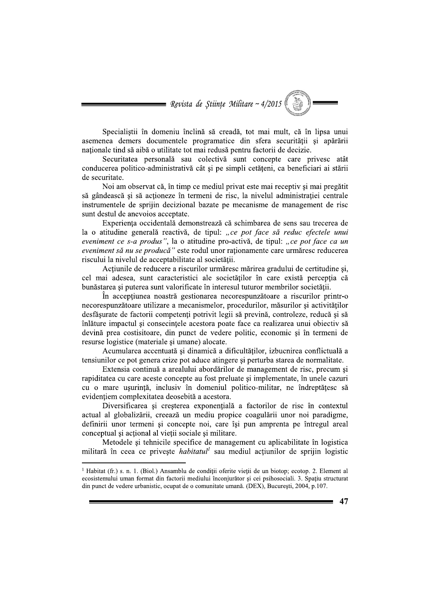$\blacksquare$  Revista de Științe Militare ~ 4/2015

Specialistii în domeniu înclină să creadă, tot mai mult, că în lipsa unui asemenea demers documentele programatice din sfera securității și apărării nationale tind să aibă o utilitate tot mai redusă pentru factorii de decizie.

Securitatea personală sau colectivă sunt concepte care privesc atât conducerea politico-administrativă cât și pe simpli cetățeni, ca beneficiari ai stării de securitate.

Noi am observat că, în timp ce mediul privat este mai receptiv și mai pregătit să gândească și să acționeze în termeni de risc, la nivelul administrației centrale instrumentele de sprijin decizional bazate pe mecanisme de management de risc sunt destul de anevoios acceptate.

Experiența occidentală demonstrează că schimbarea de sens sau trecerea de la o atitudine generală reactivă, de tipul: "ce pot face să reduc efectele unui eveniment ce s-a produs", la o atitudine pro-activă, de tipul: "ce pot face ca un eveniment să nu se producă" este rodul unor rationamente care urmăresc reducerea riscului la nivelul de acceptabilitate al societății.

Actiunile de reducere a riscurilor urmăresc mărirea gradului de certitudine si, cel mai adesea, sunt caracteristici ale societăților în care există percepția că bunăstarea și puterea sunt valorificate în interesul tuturor membrilor societății.

În accepțiunea noastră gestionarea necorespunzătoare a riscurilor printr-o necorespunzătoare utilizare a mecanismelor, procedurilor, măsurilor și activităților desfășurate de factorii competenți potrivit legii să prevină, controleze, reducă și să înlăture impactul și consecințele acestora poate face ca realizarea unui obiectiv să devină prea costisitoare, din punct de vedere politic, economic și în termeni de resurse logistice (materiale și umane) alocate.

Acumularea accentuată și dinamică a dificultăților, izbucnirea conflictuală a tensiunilor ce pot genera crize pot aduce atingere si perturba starea de normalitate.

Extensia continuă a arealului abordărilor de management de risc, precum si rapiditatea cu care aceste concepte au fost preluate și implementate, în unele cazuri cu o mare usurință, inclusiv în domeniul politico-militar, ne îndreptătesc să evidențiem complexitatea deosebită a acestora.

Diversificarea și creșterea exponențială a factorilor de risc în contextul actual al globalizării, creează un mediu propice coagulării unor noi paradigme, definirii unor termeni si concepte noi, care îsi pun amprenta pe întregul areal conceptual și acțional al vieții sociale și militare.

Metodele și tehnicile specifice de management cu aplicabilitate în logistica militară în ceea ce privește *habitatul* sau mediul acțiunilor de sprijin logistic

 $47$ 

<sup>&</sup>lt;sup>1</sup> Habitat (fr.) s. n. 1. (Biol.) Ansamblu de conditii oferite vietii de un biotop; ecotop. 2. Element al ecosistemului uman format din factorii mediului înconjurător și cei psihosociali. 3. Spațiu structurat din punct de vedere urbanistic, ocupat de o comunitate umană. (DEX), București, 2004, p.107.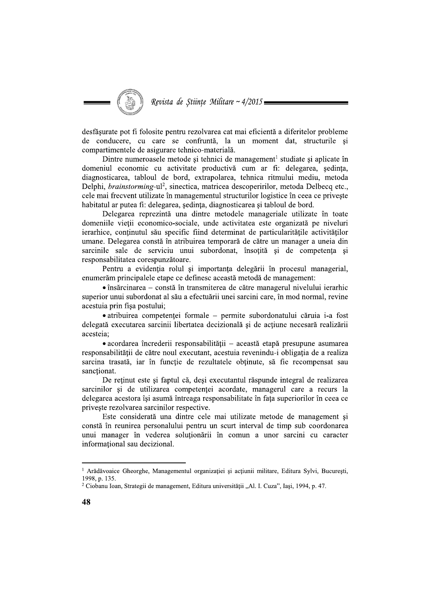Revista de Stiințe Militare ~  $4/2015$ 

desfăsurate pot fi folosite pentru rezolvarea cat mai eficientă a diferitelor probleme de conducere, cu care se confruntă, la un moment dat, structurile și compartimentele de asigurare tehnico-materială.

Dintre numeroasele metode și tehnici de management<sup>1</sup> studiate și aplicate în domeniul economic cu activitate productivă cum ar fi: delegarea, sedinta, diagnosticarea, tabloul de bord, extrapolarea, tehnica ritmului mediu, metoda Delphi, *brainstorming-*ul<sup>2</sup>, sinectica, matricea descoperirilor, metoda Delbecq etc., cele mai frecvent utilizate în managementul structurilor logistice în ceea ce privește habitatul ar putea fi: delegarea, sedinta, diagnosticarea și tabloul de bord.

Delegarea reprezintă una dintre metodele manageriale utilizate în toate domeniile vieții economico-sociale, unde activitatea este organizată pe niveluri ierarhice, conținutul său specific fiind determinat de particularitățile activităților umane. Delegarea constă în atribuirea temporară de către un manager a uneia din sarcinile sale de serviciu unui subordonat, însotită și de competenta si responsabilitatea corespunzătoare.

Pentru a evidenția rolul și importanța delegării în procesul managerial, enumerăm principalele etape ce definesc această metodă de management:

 $\bullet$  însărcinarea – constă în transmiterea de către managerul nivelului ierarhic superior unui subordonat al său a efectuării unei sarcini care, în mod normal, revine acestuia prin fisa postului;

· atribuirea competenței formale – permite subordonatului căruia i-a fost delegată executarea sarcinii libertatea decizională și de actiune necesară realizării acesteia;

• acordarea încrederii responsabilității – această etapă presupune asumarea responsabilității de către noul executant, acestuia revenindu-i obligația de a realiza sarcina trasată, iar în funcție de rezultatele obținute, să fie recompensat sau sanctionat.

De reținut este și faptul că, deși executantul răspunde integral de realizarea sarcinilor si de utilizarea competentei acordate, managerul care a recurs la delegarea acestora își asumă întreaga responsabilitate în fața superiorilor în ceea ce priveste rezolvarea sarcinilor respective.

Este considerată una dintre cele mai utilizate metode de management si constă în reunirea personalului pentru un scurt interval de timp sub coordonarea unui manager în vederea soluționării în comun a unor sarcini cu caracter informational sau decizional.

<sup>&</sup>lt;sup>1</sup> Arădăvoaice Gheorghe, Managementul organizației și acțiunii militare, Editura Sylvi, București, 1998, p. 135.

<sup>&</sup>lt;sup>2</sup> Ciobanu Ioan, Strategii de management, Editura universității "Al. I. Cuza", Iași, 1994, p. 47.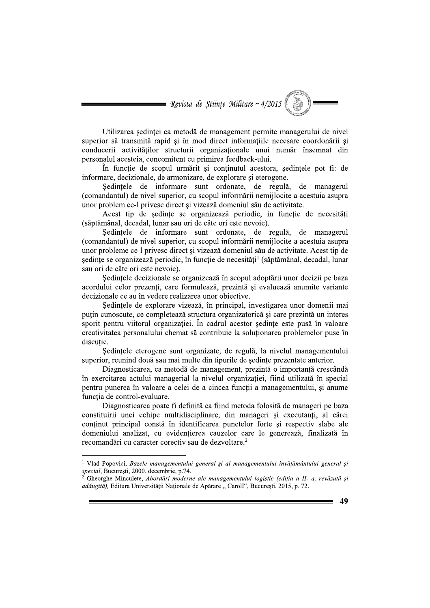= Revista de Științe Militare ~  $4/2015$ 

Utilizarea sedintei ca metodă de management permite managerului de nivel superior să transmită rapid și în mod direct informațiile necesare coordonării și conducerii activităților structurii organizaționale unui număr însemnat din personalul acesteia, concomitent cu primirea feedback-ului.

In functie de scopul urmărit și continutul acestora, sedintele pot fi: de informare, decizionale, de armonizare, de explorare și eterogene.

Sedintele de informare sunt ordonate, de regula, de managerul (comandantul) de nivel superior, cu scopul informării nemijlocite a acestuia asupra unor problem ce-l privesc direct și vizează domeniul său de activitate.

Acest tip de sedințe se organizează periodic, in funcție de necesități (săptămânal, decadal, lunar sau ori de câte ori este nevoie).

Sedințele de informare sunt ordonate, de regulă, de managerul (comandantul) de nivel superior, cu scopul informării nemijlocite a acestuia asupra unor probleme ce-l privesc direct si vizează domeniul său de activitate. Acest tip de ședințe se organizează periodic, în funcție de necesități<sup>1</sup> (săptămânal, decadal, lunar sau ori de câte ori este nevoie).

Sedintele decizionale se organizează în scopul adoptării unor decizii pe baza acordului celor prezenti, care formulează, prezintă și evaluează anumite variante decizionale ce au în vedere realizarea unor obiective.

Sedintele de explorare vizează, în principal, investigarea unor domenii mai putin cunoscute, ce completează structura organizatorică și care prezintă un interes sporit pentru viitorul organizației. În cadrul acestor ședințe este pusă în valoare creativitatea personalului chemat să contribuie la soluționarea problemelor puse în discutie.

Sedințele eterogene sunt organizate, de regulă, la nivelul managementului superior, reunind două sau mai multe din tipurile de sedințe prezentate anterior.

Diagnosticarea, ca metodă de management, prezintă o importanță crescândă în exercitarea actului managerial la nivelul organizației, fiind utilizată în special pentru punerea în valoare a celei de-a cincea functii a managementului, și anume funcția de control-evaluare.

Diagnosticarea poate fi definită ca fiind metoda folosită de manageri pe baza constituirii unei echipe multidisciplinare, din manageri și executanți, al cărei continut principal constă în identificarea punctelor forte și respectiv slabe ale domeniului analizat, cu evidențierea cauzelor care le generează, finalizată în recomandări cu caracter corectiv sau de dezvoltare.<sup>2</sup>

Gheorghe Minculete, Abordări moderne ale managementului logistic (ediția a II- a, revăzută și adăugită), Editura Universității Naționale de Apărare "Caroll", București, 2015, p. 72.



<sup>&</sup>lt;sup>1</sup> Vlad Popovici, Bazele managementului general și al managementului învățământului general și special, București, 2000. decembrie, p.74.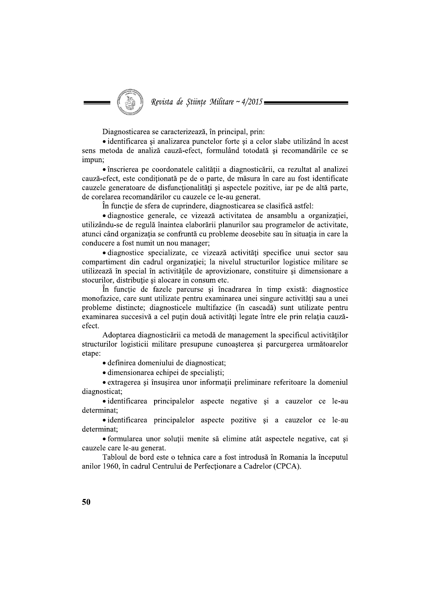

Diagnosticarea se caracterizează, în principal, prin:

• identificarea și analizarea punctelor forte și a celor slabe utilizând în acest sens metoda de analiză cauză-efect, formulând totodată și recomandările ce se impun:

• înscrierea pe coordonatele calității a diagnosticării, ca rezultat al analizei cauză-efect, este conditionată pe de o parte, de măsura în care au fost identificate cauzele generatoare de disfuncționalități și aspectele pozitive, iar pe de altă parte, de corelarea recomandărilor cu cauzele ce le-au generat.

În funcție de sfera de cuprindere, diagnosticarea se clasifică astfel:

· diagnostice generale, ce vizează activitatea de ansamblu a organizației, utilizându-se de regulă înaintea elaborării planurilor sau programelor de activitate, atunci când organizația se confruntă cu probleme deosebite sau în situația in care la conducere a fost numit un nou manager:

· diagnostice specializate, ce vizează activități specifice unui sector sau compartiment din cadrul organizației; la nivelul structurilor logistice militare se utilizează în special în activitățile de aprovizionare, constituire și dimensionare a stocurilor, distribuție și alocare in consum etc.

În functie de fazele parcurse și încadrarea în timp există: diagnostice monofazice, care sunt utilizate pentru examinarea unei singure activități sau a unei probleme distincte; diagnosticele multifazice (în cascadă) sunt utilizate pentru examinarea succesivă a cel puțin două activități legate între ele prin relația cauzăefect.

Adoptarea diagnosticării ca metodă de management la specificul activităților structurilor logisticii militare presupune cunoasterea si parcurgerea următoarelor etane:

· definirea domeniului de diagnosticat;

· dimensionarea echipei de specialisti;

• extragerea și însusirea unor informații preliminare referitoare la domeniul diagnosticat:

• identificarea principalelor aspecte negative si a cauzelor ce le-au determinat;

• identificarea principalelor aspecte pozitive și a cauzelor ce le-au determinat:

• formularea unor solutii menite să elimine atât aspectele negative, cat si cauzele care le-au generat.

Tabloul de bord este o tehnica care a fost introdusă în Romania la începutul anilor 1960, în cadrul Centrului de Perfectionare a Cadrelor (CPCA).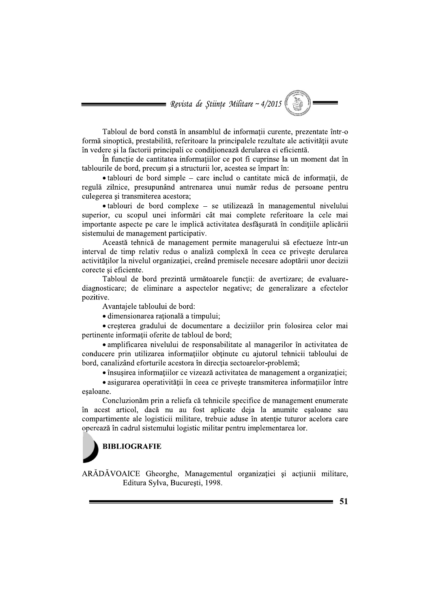= Revista de Științe Militare ~  $4/2015$ 

Tabloul de bord constă în ansamblul de informații curente, prezentate într-o formă sinoptică, prestabilită, referitoare la principalele rezultate ale activității avute în vedere si la factorii principali ce conditionează derularea ei eficientă.

În funcție de cantitatea informațiilor ce pot fi cuprinse la un moment dat în tablourile de bord, precum și a structurii lor, acestea se împart în:

· tablouri de bord simple – care includ o cantitate mică de informații, de regulă zilnice, presupunând antrenarea unui număr redus de persoane pentru culegerea si transmiterea acestora;

· tablouri de bord complexe - se utilizează în managementul nivelului superior, cu scopul unei informări cât mai complete referitoare la cele mai importante aspecte pe care le implică activitatea desfășurată în condițiile aplicării sistemului de management participativ.

Această tehnică de management permite managerului să efectueze într-un interval de timp relativ redus o analiză complexă în ceea ce priveste derularea activitătilor la nivelul organizatiei, creând premisele necesare adoptării unor decizii corecte si eficiente.

Tabloul de bord prezintă următoarele funcții: de avertizare; de evaluarediagnosticare; de eliminare a aspectelor negative; de generalizare a efectelor pozitive.

Avantaiele tabloului de bord:

· dimensionarea ratională a timpului:

• creșterea gradului de documentare a deciziilor prin folosirea celor mai pertinente informații oferite de tabloul de bord;

• amplificarea nivelului de responsabilitate al managerilor în activitatea de conducere prin utilizarea informatiilor obtinute cu ajutorul tehnicii tabloului de bord, canalizând eforturile acestora în directia sectoarelor-problemă;

• însusirea informațiilor ce vizează activitatea de management a organizației;

• asigurarea operativității în ceea ce priveste transmiterea informațiilor între esaloane.

Concluzionăm prin a reliefa că tehnicile specifice de management enumerate în acest articol, dacă nu au fost aplicate deia la anumite esaloane sau compartimente ale logisticii militare, trebuie aduse în atenție tuturor acelora care operează în cadrul sistemului logistic militar pentru implementarea lor.



ARĂDĂVOAICE Gheorghe, Managementul organizației și acțiunii militare, Editura Sylva, București, 1998.

51